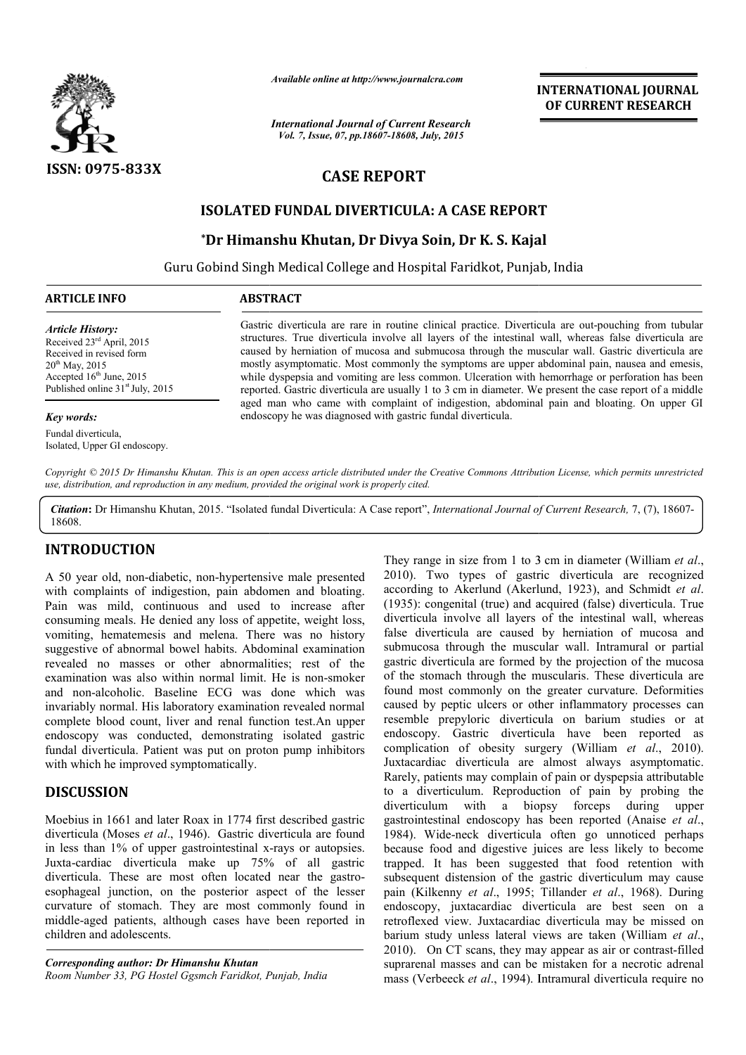

*Available online at http://www.journalcra.com*

*International Journal of Current Research Vol. 7, Issue, 07, pp.18607-18608, July, 2015*

**INTERNATIONAL INTERNATIONAL JOURNAL OF CURRENT RESEARCH** 

# **CASE REPORT**

## **ISOLATED FUNDAL DIVERTICULA: A CASE REPORT**

# **\*Dr Himanshu Khutan, Dr Divya Soin, Dr K. S. Kajal Dr K. S. Kajal**

Guru Gobind Singh Medical College and Hospital Faridkot, Punjab, India Hospital Faridkot, Punjab, 1

### **ARTICLE INFO ABSTRACT**

*Article History:* Received 23rd April, 2015 Received in revised form  $20^{th}$  May, 2015 Accepted  $16<sup>th</sup>$  June, 2015 Published online 31<sup>st</sup> July, 2015

### *Key words:*

Fundal diverticula, Isolated, Upper GI endoscopy.

Gastric diverticula are rare in routine clinical practice. Diverticula are out-pouching from tubular structures. True diverticula involve all layers of the intestinal wall, whereas false diverticula are structures. True diverticula involve all layers of the intestinal wall, whereas false diverticula are caused by herniation of mucosa and submucosa through the muscular wall. Gastric diverticula are mostly asymptomatic. Most commonly the symptoms are upper abdominal pain, nausea and emesis, while dyspepsia and vomiting are less common. Ulceration with hemorrhage or perforation has been reported. Gastric diverticula are usually 1 to 3 cm in diameter. We present the ca aged man who came with complaint of indigestion, abdominal pain and bloating. On upper GI endoscopy he was diagnosed with gastric fundal diverticula. tic. Most commonly the symptoms are upper abdominal pain, nausea and emesis, d vomiting are less common. Ulceration with hemorrhage or perforation has been iverticula are usually 1 to 3 cm in diameter. We present the case

*Copyright © 2015 Dr Himanshu Khutan. This is an open access article distributed under the Creative Commons Attribution License, which ribution License, which permits unrestricted use, distribution, and reproduction in any medium, provided the original work is properly cited.*

Citation: Dr Himanshu Khutan, 2015. "Isolated fundal Diverticula: A Case report", *International Journal of Current Research*, 7, (7), 18607-18608.

## **INTRODUCTION**

A 50 year old, non-diabetic, non-hypertensive male presented with complaints of indigestion, pain abdomen and bloating. Pain was mild, continuous and used to increase after consuming meals. He denied any loss of appetite, weight loss, vomiting, hematemesis and melena. There was no history suggestive of abnormal bowel habits. Abdominal examination revealed no masses or other abnormalities; rest of the examination was also within normal limit. He is non and non-alcoholic. Baseline ECG was done which was invariably normal. His laboratory examination revealed normal complete blood count, liver and renal function test.An upper endoscopy was conducted, demonstrating isolated gastric fundal diverticula. Patient was put on proton pump inhibitors with which he improved symptomatically. hypertensive male presented<br>pain abdomen and bloating.<br>Id used to increase after<br>loss of appetite, weight loss,<br>ena. There was no history<br>pits. Abdominal examination<br>abnormalities; rest of the<br>mal limit. He is non-smoker

# **DISCUSSION**

Moebius in 1661 and later Roax in 1774 first described gastric diverticula (Moses *et al*., 1946). Gastric diverticula are found in less than 1% of upper gastrointestinal x -rays or autopsies. Juxta-cardiac diverticula make up 75% of all gastric diverticula. These are most often located near the gastroesophageal junction, on the posterior aspect of the lesser curvature of stomach. They are most commonly found in middle-aged patients, although cases have been reported in children and adolescents.

*Corresponding author: Dr Himanshu Khutan Room Number 33, PG Hostel Ggsmch Faridkot, Punjab, India*

They range in size from 1 to 3 cm in diameter (William *et al.*, 2010). Two types of gastric diverticula are recognized 2010). Two types of gastric diverticula are recognized according to Akerlund (Akerlund, 1923), and Schmidt *et al*.  $(1935)$ : congenital (true) and acquired (false) diverticula. True diverticula involve all layers of the intestinal wall, whereas false diverticula are caused by herniation of mucosa and submucosa through the muscular wall. Intramural or partial gastric diverticula are formed by the projection of the mucosa of the stomach through the muscularis. These diverticula are found most commonly on the greater curvature. Deformities caused by peptic ulcers or other inflammatory processes can resemble prepyloric diverticula on barium studies or at diverticula involve all layers of the intestinal wall, whereas false diverticula are caused by herniation of mucosa and submucosa through the muscular wall. Intramural or partial gastric diverticula are formed by the proje complication of obesity surgery (William *et al.*, 2010). Juxtacardiac diverticula are almost always asymptomatic. Rarely, patients may complain of pain or dyspepsia attributable to a diverticulum. Reproduction of pain by probing the to a diverticulum. Reproduction of pain by probing the diverticulum with a biopsy forceps during upper gastrointestinal endoscopy has been reported (Anaise *et al*., 1984). Wide-neck diverticula often go unnoticed perhaps because food and digestive juices are less likely to become trapped. It has been suggested that food retention with subsequent distension of the gastric diverticulum may cause subsequent distension of the gastric diverticulum may cause pain (Kilkenny *et al.*, 1995; Tillander *et al.*, 1968). During endoscopy, juxtacardiac diverticula are best seen on a endoscopy, juxtacardiac diverticula are best seen on a retroflexed view. Juxtacardiac diverticula may be missed on barium study unless lateral views are taken (William *et al*., 2010). On CT scans, they may appear as air or contrast-filled suprarenal masses and can be mistaken for a necrotic adrenal mass (Verbeeck *et al*., 1994). Intramural diverticula require no 1984). Wide-neck diverticula often go unnoticed perhaps because food and digestive juices are less likely to become trapped. It has been suggested that food retention with **INTERNATIONAL JOURNAL CONTRANTION CONTRANT CONTRANT CONTRANT CONTRANT CONTRANT CONTRANT CONTRANT CONTRANT CONTRANT CONTRANT CONTRANT CONTRANT CONTRANT CONTRANT CONTRANT CONTRANT CONTRANT CONTRANT CONTRANT CONTRANT CONTRA**